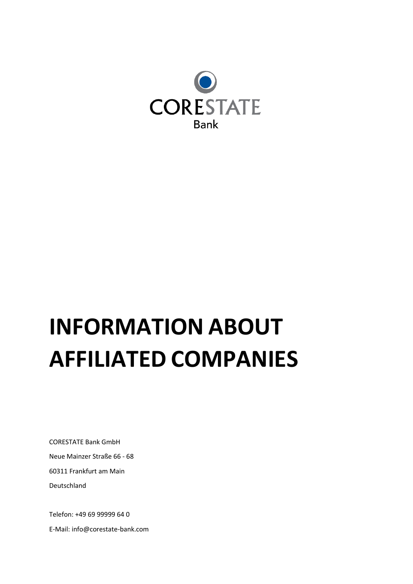

## **INFORMATION ABOUT AFFILIATED COMPANIES**

CORESTATE Bank GmbH Neue Mainzer Straße 66 - 68 60311 Frankfurt am Main Deutschland

Telefon: +49 69 99999 64 0 E-Mail: info@corestate-bank.com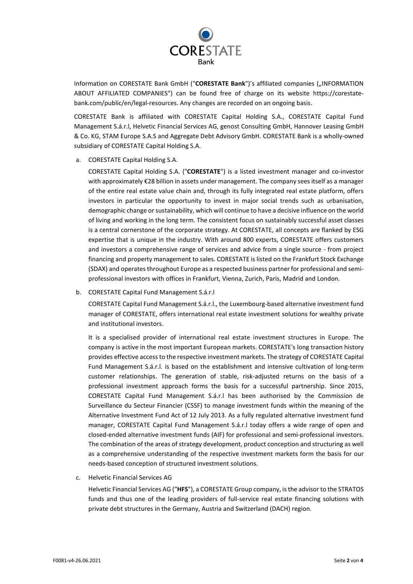

Information on CORESTATE Bank GmbH ("**CORESTATE Bank**")'s affiliated companies ("INFORMATION ABOUT AFFILIATED COMPANIES") can be found free of charge on its website https://corestatebank.com/public/en/legal-resources. Any changes are recorded on an ongoing basis.

CORESTATE Bank is affiliated with CORESTATE Capital Holding S.A., CORESTATE Capital Fund Management S.á.r.l, Helvetic Financial Services AG, genost Consulting GmbH, Hannover Leasing GmbH & Co. KG, STAM Europe S.A.S and Aggregate Debt Advisory GmbH. CORESTATE Bank is a wholly-owned subsidiary of CORESTATE Capital Holding S.A.

a. CORESTATE Capital Holding S.A.

CORESTATE Capital Holding S.A. ("**CORESTATE**") is a listed investment manager and co-investor with approximately €28 billion in assets under management. The company sees itself as a manager of the entire real estate value chain and, through its fully integrated real estate platform, offers investors in particular the opportunity to invest in major social trends such as urbanisation, demographic change or sustainability, which will continue to have a decisive influence on the world of living and working in the long term. The consistent focus on sustainably successful asset classes is a central cornerstone of the corporate strategy. At CORESTATE, all concepts are flanked by ESG expertise that is unique in the industry. With around 800 experts, CORESTATE offers customers and investors a comprehensive range of services and advice from a single source - from project financing and property management to sales. CORESTATE is listed on the Frankfurt Stock Exchange (SDAX) and operates throughout Europe as a respected business partner for professional and semiprofessional investors with offices in Frankfurt, Vienna, Zurich, Paris, Madrid and London.

b. CORESTATE Capital Fund Management S.á.r.l

CORESTATE Capital Fund Management S.á.r.l., the Luxembourg-based alternative investment fund manager of CORESTATE, offers international real estate investment solutions for wealthy private and institutional investors.

It is a specialised provider of international real estate investment structures in Europe. The company is active in the most important European markets. CORESTATE's long transaction history provides effective access to the respective investment markets. The strategy of CORESTATE Capital Fund Management S.á.r.l. is based on the establishment and intensive cultivation of long-term customer relationships. The generation of stable, risk-adjusted returns on the basis of a professional investment approach forms the basis for a successful partnership. Since 2015, CORESTATE Capital Fund Management S.á.r.l has been authorised by the Commission de Surveillance du Secteur Financier (CSSF) to manage investment funds within the meaning of the Alternative Investment Fund Act of 12 July 2013. As a fully regulated alternative investment fund manager, CORESTATE Capital Fund Management S.á.r.l today offers a wide range of open and closed-ended alternative investment funds (AIF) for professional and semi-professional investors. The combination of the areas of strategy development, product conception and structuring as well as a comprehensive understanding of the respective investment markets form the basis for our needs-based conception of structured investment solutions.

c. Helvetic Financial Services AG

Helvetic Financial Services AG ("**HFS**"), a CORESTATE Group company, is the advisor to the STRATOS funds and thus one of the leading providers of full-service real estate financing solutions with private debt structures in the Germany, Austria and Switzerland (DACH) region.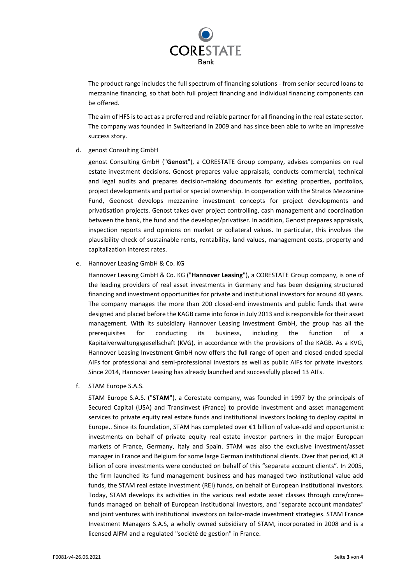

The product range includes the full spectrum of financing solutions - from senior secured loans to mezzanine financing, so that both full project financing and individual financing components can be offered.

The aim of HFS is to act as a preferred and reliable partner for all financing in the real estate sector. The company was founded in Switzerland in 2009 and has since been able to write an impressive success story.

d. genost Consulting GmbH

genost Consulting GmbH ("**Genost**"), a CORESTATE Group company, advises companies on real estate investment decisions. Genost prepares value appraisals, conducts commercial, technical and legal audits and prepares decision-making documents for existing properties, portfolios, project developments and partial or special ownership. In cooperation with the Stratos Mezzanine Fund, Geonost develops mezzanine investment concepts for project developments and privatisation projects. Genost takes over project controlling, cash management and coordination between the bank, the fund and the developer/privatiser. In addition, Genost prepares appraisals, inspection reports and opinions on market or collateral values. In particular, this involves the plausibility check of sustainable rents, rentability, land values, management costs, property and capitalization interest rates.

e. Hannover Leasing GmbH & Co. KG

Hannover Leasing GmbH & Co. KG ("**Hannover Leasing**"), a CORESTATE Group company, is one of the leading providers of real asset investments in Germany and has been designing structured financing and investment opportunities for private and institutional investors for around 40 years. The company manages the more than 200 closed-end investments and public funds that were designed and placed before the KAGB came into force in July 2013 and is responsible for their asset management. With its subsidiary Hannover Leasing Investment GmbH, the group has all the prerequisites for conducting its business, including the function of a Kapitalverwaltungsgesellschaft (KVG), in accordance with the provisions of the KAGB. As a KVG, Hannover Leasing Investment GmbH now offers the full range of open and closed-ended special AIFs for professional and semi-professional investors as well as public AIFs for private investors. Since 2014, Hannover Leasing has already launched and successfully placed 13 AIFs.

f. STAM Europe S.A.S.

STAM Europe S.A.S. ("**STAM**"), a Corestate company, was founded in 1997 by the principals of Secured Capital (USA) and Transinvest (France) to provide investment and asset management services to private equity real estate funds and institutional investors looking to deploy capital in Europe.. Since its foundation, STAM has completed over €1 billion of value-add and opportunistic investments on behalf of private equity real estate investor partners in the major European markets of France, Germany, Italy and Spain. STAM was also the exclusive investment/asset manager in France and Belgium for some large German institutional clients. Over that period, €1.8 billion of core investments were conducted on behalf of this "separate account clients". In 2005, the firm launched its fund management business and has managed two institutional value add funds, the STAM real estate investment (REI) funds, on behalf of European institutional investors. Today, STAM develops its activities in the various real estate asset classes through core/core+ funds managed on behalf of European institutional investors, and "separate account mandates" and joint ventures with institutional investors on tailor-made investment strategies. STAM France Investment Managers S.A.S, a wholly owned subsidiary of STAM, incorporated in 2008 and is a licensed AIFM and a regulated "société de gestion" in France.